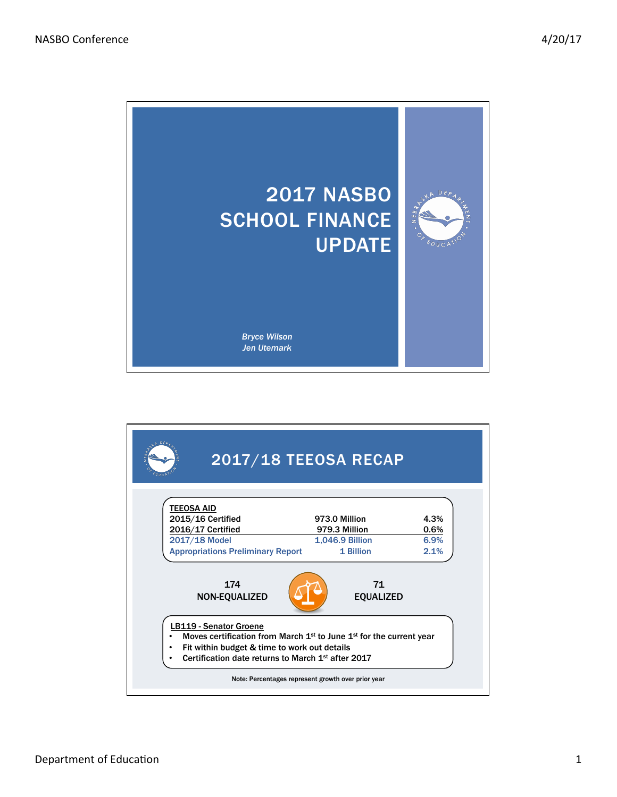

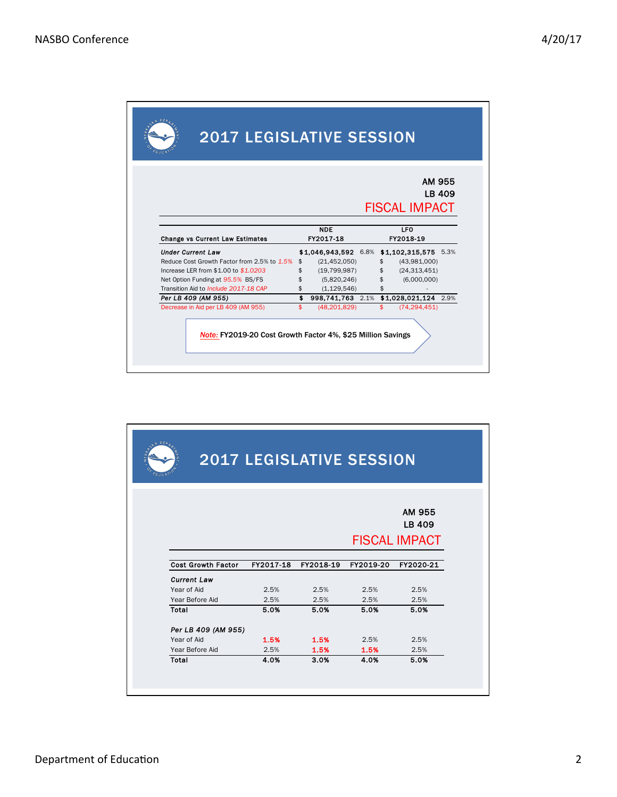|                                             |           |                                           |  |           | AM 955<br>LB 409     |  |  |
|---------------------------------------------|-----------|-------------------------------------------|--|-----------|----------------------|--|--|
|                                             |           |                                           |  |           |                      |  |  |
|                                             |           |                                           |  |           | <b>FISCAL IMPACT</b> |  |  |
|                                             |           | <b>NDE</b>                                |  |           | <b>LFO</b>           |  |  |
| <b>Change vs Current Law Estimates</b>      | FY2017 18 |                                           |  | FY2018 19 |                      |  |  |
| <b>Under Current Law</b>                    |           | \$1,046,943,592 6.8% \$1,102,315,575 5.3% |  |           |                      |  |  |
| Reduce Cost Growth Factor from 2.5% to 1.5% | \$        | (21, 452, 050)                            |  | \$        | (43,981,000)         |  |  |
| Increase LER from \$1.00 to \$1.0203        | \$        | (19, 799, 987)                            |  | \$        | (24, 313, 451)       |  |  |
| Net Option Funding at 95.5% BS/FS           | \$        | (5,820,246)                               |  | \$        | (6,000,000)          |  |  |
| Transition Aid to Include 2017-18 CAP       | \$        | (1, 129, 546)                             |  | \$        |                      |  |  |
| Per LB 409 (AM 955)                         |           | \$ 998,741,763 2.1% \$1,028,021,124 2.9%  |  |           |                      |  |  |
| Decrease in Aid per LB 409 (AM 955)         | \$        | (48, 201, 829)                            |  | \$        | (74, 294, 451)       |  |  |

| DEA<br><b>EDUCA</b>       | <b>2017 LEGISLATIVE SESSION</b> |           |           |                                          |
|---------------------------|---------------------------------|-----------|-----------|------------------------------------------|
|                           |                                 |           |           | AM 955<br>LB 409<br><b>FISCAL IMPACT</b> |
| <b>Cost Growth Factor</b> | FY2017-18                       | FY2018-19 | FY2019-20 | FY2020-21                                |
| <b>Current Law</b>        |                                 |           |           |                                          |
| Year of Aid               | 2.5%                            | 2.5%      | 2.5%      | 2.5%                                     |
| Year Before Aid           | 2.5%                            | 2.5%      | 2.5%      | 2.5%                                     |
| Total                     | 5.0%                            | 5.0%      | 5.0%      | 5.0%                                     |
| Per LB 409 (AM 955)       |                                 |           |           |                                          |
| Year of Aid               | 1.5%                            | 1.5%      | 2.5%      | 2.5%                                     |
| Year Before Aid           | 2.5%                            | 1.5%      | 1.5%      | 2.5%                                     |
| Total                     | 4.0%                            | 3.0%      | 4.0%      | 5.0%                                     |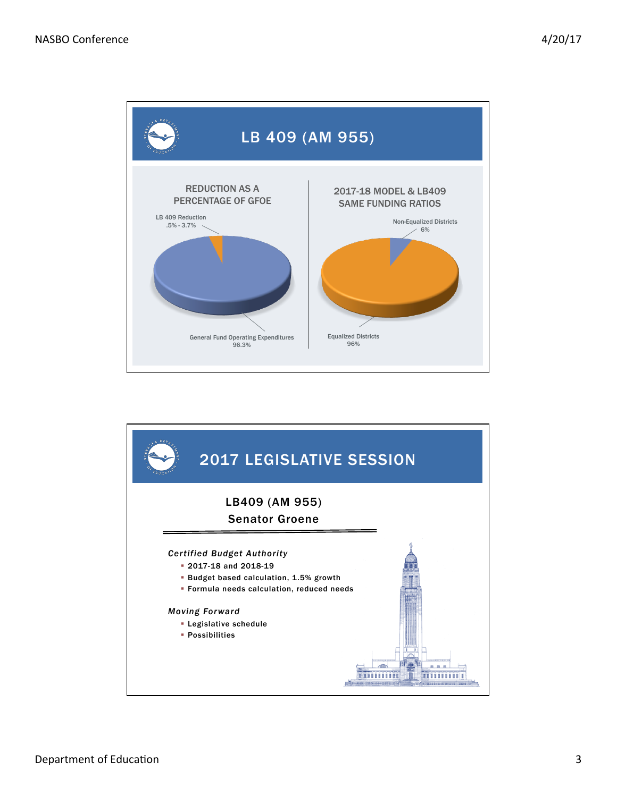

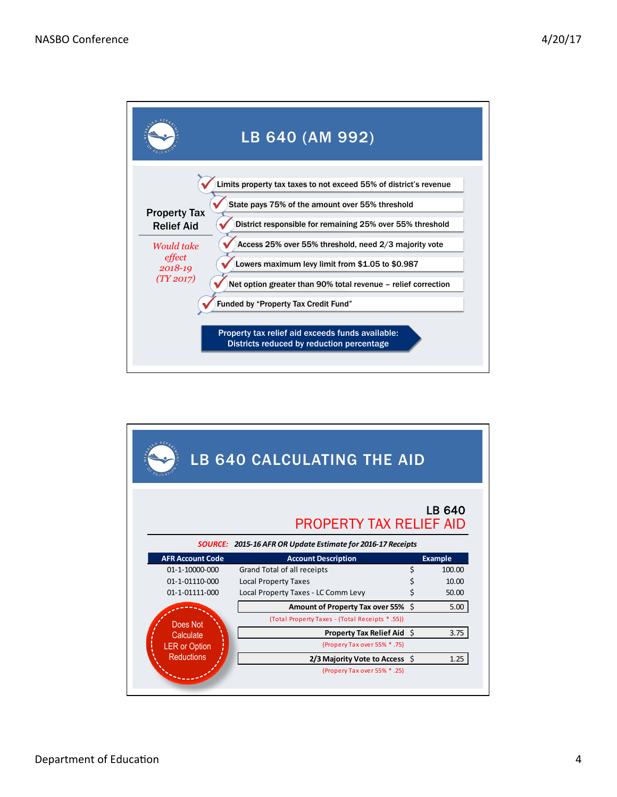

|                         | LB 640 CALCULATING THE AID                                  |    |                |  |  |  |  |  |
|-------------------------|-------------------------------------------------------------|----|----------------|--|--|--|--|--|
|                         | <b>PROPERTY TAX RELIEF AID</b>                              |    | LB 640         |  |  |  |  |  |
|                         | SOURCE: 2015-16 AFR OR Update Estimate for 2016-17 Receipts |    |                |  |  |  |  |  |
| <b>AFR Account Code</b> | <b>Account Description</b>                                  |    | <b>Example</b> |  |  |  |  |  |
| 01-1-10000-000          | Grand Total of all receipts                                 | \$ | 100.00         |  |  |  |  |  |
| 01-1-01110-000          | <b>Local Property Taxes</b>                                 | \$ | 10.00          |  |  |  |  |  |
| 01-1-01111-000          | Local Property Taxes - LC Comm Levy                         | Ś  | 50.00          |  |  |  |  |  |
|                         | Amount of Property Tax over 55%                             | Ŝ. | 5.00           |  |  |  |  |  |
| Does Not                | (Total Property Taxes - (Total Receipts * .55))             |    |                |  |  |  |  |  |
| Calculate               | <b>Property Tax Relief Aid \$</b>                           |    | 3.75           |  |  |  |  |  |
| <b>LER or Option</b>    | (Propery Tax over 55% * .75)                                |    |                |  |  |  |  |  |
| Reductions              | 2/3 Majority Vote to Access $\oint$                         |    | 1.25           |  |  |  |  |  |
|                         | (Propery Tax over 55% * .25)                                |    |                |  |  |  |  |  |
|                         |                                                             |    |                |  |  |  |  |  |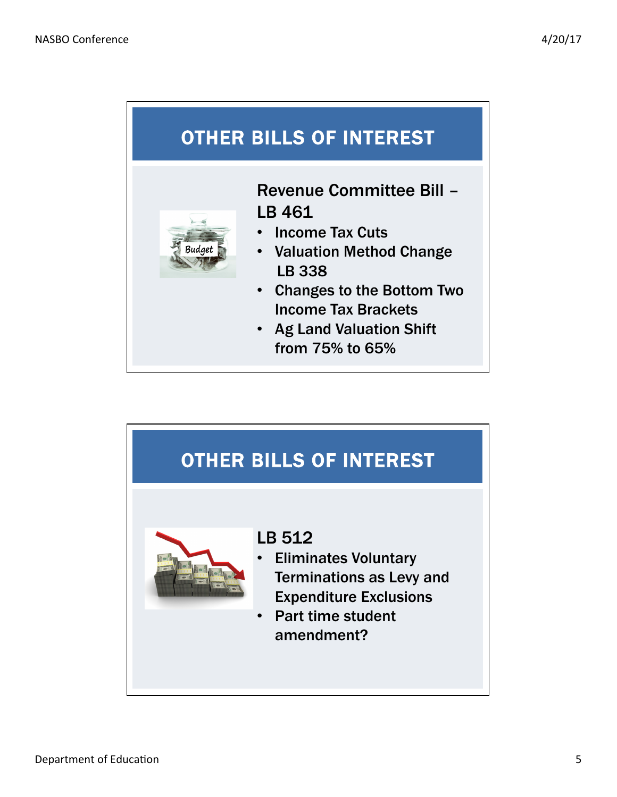## OTHER BILLS OF INTEREST



Revenue Committee Bill – LB 461

- Income Tax Cuts
- Valuation Method Change LB 338
- Changes to the Bottom Two Income Tax Brackets
- Ag Land Valuation Shift from 75% to 65%

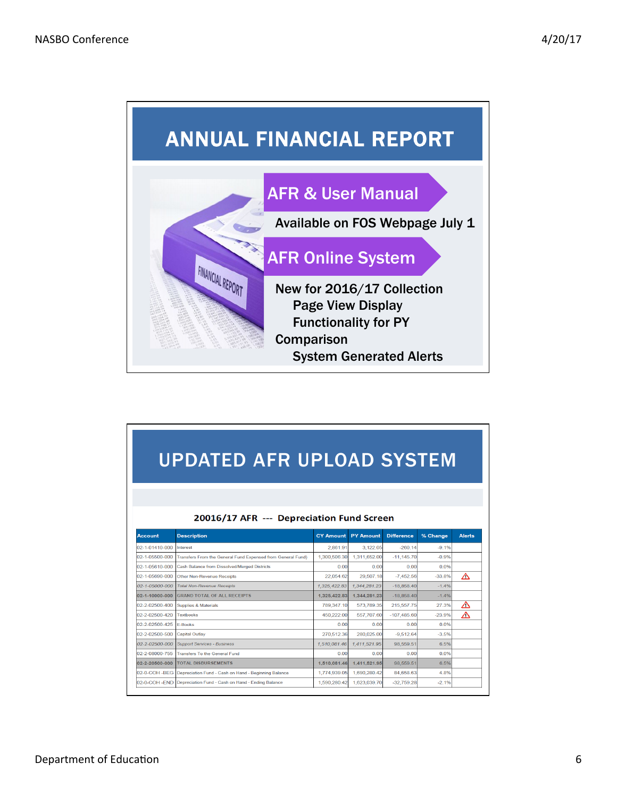

| <b>UPDATED AFR UPLOAD SYSTEM</b>          |                                                                 |                  |                  |                   |          |               |  |  |
|-------------------------------------------|-----------------------------------------------------------------|------------------|------------------|-------------------|----------|---------------|--|--|
| 20016/17 AFR --- Depreciation Fund Screen |                                                                 |                  |                  |                   |          |               |  |  |
| <b>Account</b>                            | <b>Description</b>                                              | <b>CY Amount</b> | <b>PY Amount</b> | <b>Difference</b> | % Change | <b>Alerts</b> |  |  |
| 02-1-01410-000                            | <b>Interest</b>                                                 | 2,861.91         | 3,122.05         | $-260.14$         | $-9.1%$  |               |  |  |
| 02-1-05500-000                            | Transfers From the General Fund Expensed from General Fund)     | 1.300.506.30     | 1,311,652.00     | $-11,145.70$      | $-0.9%$  |               |  |  |
| 02-1-05610-000                            | Cash Balance from Dissolved/Merged Districts                    | 0.00             | 0.00             | 0.00              | 0.0%     |               |  |  |
| 02-1-05690-000                            | <b>Other Non-Revenue Receipts</b>                               | 22,054.62        | 29,507.18        | $-7,452.56$       | $-33.8%$ | △             |  |  |
| 02-1-05000-000                            | <b>Total Non-Revenue Receipts</b>                               | 1,325,422.83     | 1,344,281.23     | $-18,858.40$      | $-1.4%$  |               |  |  |
| 02-1-10000-000                            | <b>GRAND TOTAL OF ALL RECEIPTS</b>                              | 1.325.422.83     | 1.344.281.23     | $-18.858.40$      | $-1.4%$  |               |  |  |
| 02-2-02500-400                            | <b>Supplies &amp; Materials</b>                                 | 789,347.10       | 573,789.35       | 215,557.75        | 27.3%    | △             |  |  |
| 02-2-02500-420                            | <b>Textbooks</b>                                                | 450.222.00       | 557.707.60       | $-107.485.60$     | $-23.9%$ | ∧             |  |  |
| 02-2-02500-425                            | <b>F-Books</b>                                                  | 0.00             | 0.00             | 0.00              | 0.0%     |               |  |  |
| 02-2-02500-500                            | <b>Capital Outlay</b>                                           | 270.512.36       | 280.025.00       | $-9.512.64$       | $-3.5%$  |               |  |  |
| 02-2-02500-000                            | <b>Support Services - Business</b>                              | 1.510.081.46     | 1,411,521.95     | 98,559.51         | 6.5%     |               |  |  |
| 02-2-08000-755                            | <b>Transfers To the General Fund</b>                            | 0.00             | 0.00             | 0.00              | 0.0%     |               |  |  |
| 02-2-20500-000                            | <b>TOTAL DISBURSEMENTS</b>                                      | 1.510.081.46     | 1.411.521.95     | 98,559.51         | 6.5%     |               |  |  |
| 02-0-COH -BEG                             | Depreciation Fund - Cash on Hand - Beginning Balance            | 1,774,939.05     | 1,690,280.42     | 84,658,63         | 4.8%     |               |  |  |
|                                           | 02-0-COH -END Depreciation Fund - Cash on Hand - Ending Balance | 1,590,280.42     | 1,623,039.70     | $-32,759.28$      | $-2.1%$  |               |  |  |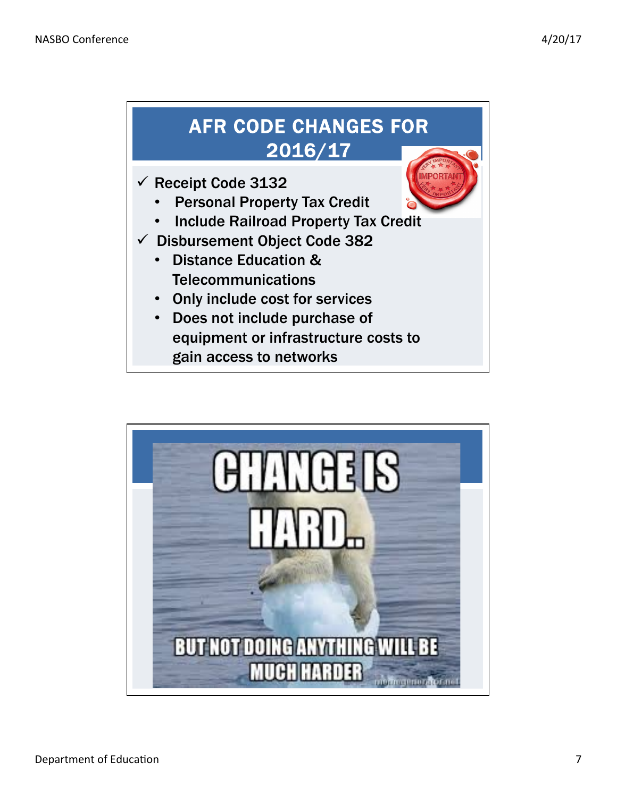

- **Telecommunications**
- Only include cost for services
- Does not include purchase of equipment or infrastructure costs to gain access to networks